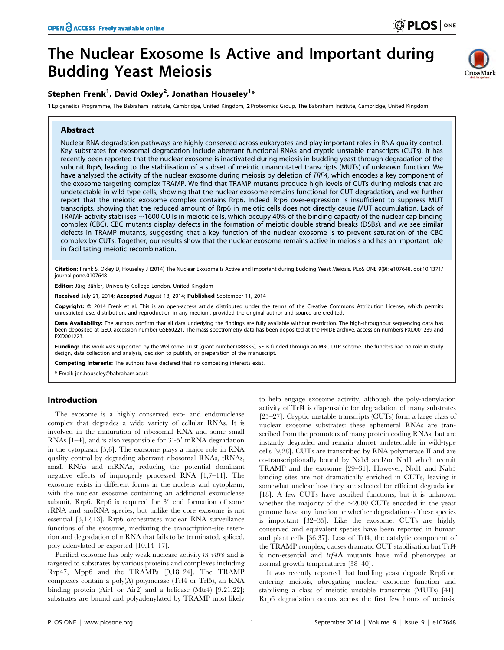$C$ rossMarl

# The Nuclear Exosome Is Active and Important during Budding Yeast Meiosis

## Stephen Frenk<sup>1</sup>, David Oxley<sup>2</sup>, Jonathan Houseley<sup>1</sup>\*

1 Epigenetics Programme, The Babraham Institute, Cambridge, United Kingdom, 2 Proteomics Group, The Babraham Institute, Cambridge, United Kingdom

## Abstract

Nuclear RNA degradation pathways are highly conserved across eukaryotes and play important roles in RNA quality control. Key substrates for exosomal degradation include aberrant functional RNAs and cryptic unstable transcripts (CUTs). It has recently been reported that the nuclear exosome is inactivated during meiosis in budding yeast through degradation of the subunit Rrp6, leading to the stabilisation of a subset of meiotic unannotated transcripts (MUTs) of unknown function. We have analysed the activity of the nuclear exosome during meiosis by deletion of TRF4, which encodes a key component of the exosome targeting complex TRAMP. We find that TRAMP mutants produce high levels of CUTs during meiosis that are undetectable in wild-type cells, showing that the nuclear exosome remains functional for CUT degradation, and we further report that the meiotic exosome complex contains Rrp6. Indeed Rrp6 over-expression is insufficient to suppress MUT transcripts, showing that the reduced amount of Rrp6 in meiotic cells does not directly cause MUT accumulation. Lack of TRAMP activity stabilises  $\sim$ 1600 CUTs in meiotic cells, which occupy 40% of the binding capacity of the nuclear cap binding complex (CBC). CBC mutants display defects in the formation of meiotic double strand breaks (DSBs), and we see similar defects in TRAMP mutants, suggesting that a key function of the nuclear exosome is to prevent saturation of the CBC complex by CUTs. Together, our results show that the nuclear exosome remains active in meiosis and has an important role in facilitating meiotic recombination.

Citation: Frenk S, Oxley D, Houseley J (2014) The Nuclear Exosome Is Active and Important during Budding Yeast Meiosis. PLoS ONE 9(9): e107648. doi:10.1371/ journal.pone.0107648

Editor: Jürg Bähler, University College London, United Kingdom

Received July 21, 2014; Accepted August 18, 2014; Published September 11, 2014

Copyright: © 2014 Frenk et al. This is an open-access article distributed under the terms of the [Creative Commons Attribution License,](http://creativecommons.org/licenses/by/4.0/) which permits unrestricted use, distribution, and reproduction in any medium, provided the original author and source are credited.

Data Availability: The authors confirm that all data underlying the findings are fully available without restriction. The high-throughput sequencing data has been deposited at GEO, accession number GSE60221. The mass spectrometry data has been deposited at the PRIDE archive, accession numbers PXD001239 and PXD001223.

Funding: This work was supported by the Wellcome Trust [grant number 088335], SF is funded through an MRC DTP scheme. The funders had no role in study design, data collection and analysis, decision to publish, or preparation of the manuscript.

Competing Interests: The authors have declared that no competing interests exist.

\* Email: jon.houseley@babraham.ac.uk

#### Introduction

The exosome is a highly conserved exo- and endonuclease complex that degrades a wide variety of cellular RNAs. It is involved in the maturation of ribosomal RNA and some small RNAs  $[1-4]$ , and is also responsible for  $3'-5'$  mRNA degradation in the cytoplasm [5,6]. The exosome plays a major role in RNA quality control by degrading aberrant ribosomal RNAs, tRNAs, small RNAs and mRNAs, reducing the potential dominant negative effects of improperly processed RNA [1,7–11]. The exosome exists in different forms in the nucleus and cytoplasm, with the nuclear exosome containing an additional exonuclease subunit, Rrp6. Rrp6 is required for  $3'$  end formation of some rRNA and snoRNA species, but unlike the core exosome is not essential [3,12,13]. Rrp6 orchestrates nuclear RNA surveillance functions of the exosome, mediating the transcription-site retention and degradation of mRNA that fails to be terminated, spliced, poly-adenylated or exported [10,14–17].

Purified exosome has only weak nuclease activity in vitro and is targeted to substrates by various proteins and complexes including Rrp47, Mpp6 and the TRAMPs [9,18–24]. The TRAMP complexes contain a poly(A) polymerase (Trf4 or Trf5), an RNA binding protein (Air1 or Air2) and a helicase (Mtr4) [9,21,22]; substrates are bound and polyadenylated by TRAMP most likely to help engage exosome activity, although the poly-adenylation activity of Trf4 is dispensable for degradation of many substrates [25–27]. Cryptic unstable transcripts (CUTs) form a large class of nuclear exosome substrates: these ephemeral RNAs are transcribed from the promoters of many protein coding RNAs, but are instantly degraded and remain almost undetectable in wild-type cells [9,28]. CUTs are transcribed by RNA polymerase II and are co-transcriptionally bound by Nab3 and/or Nrd1 which recruit TRAMP and the exosome [29–31]. However, Nrd1 and Nab3 binding sites are not dramatically enriched in CUTs, leaving it somewhat unclear how they are selected for efficient degradation [18]. A few CUTs have ascribed functions, but it is unknown whether the majority of the  $\sim$ 2000 CUTs encoded in the yeast genome have any function or whether degradation of these species is important [32–35]. Like the exosome, CUTs are highly conserved and equivalent species have been reported in human and plant cells [36,37]. Loss of Trf4, the catalytic component of the TRAMP complex, causes dramatic CUT stabilisation but Trf4 is non-essential and  $trf4\Delta$  mutants have mild phenotypes at normal growth temperatures [38–40].

It was recently reported that budding yeast degrade Rrp6 on entering meiosis, abrogating nuclear exosome function and stabilising a class of meiotic unstable transcripts (MUTs) [41]. Rrp6 degradation occurs across the first few hours of meiosis,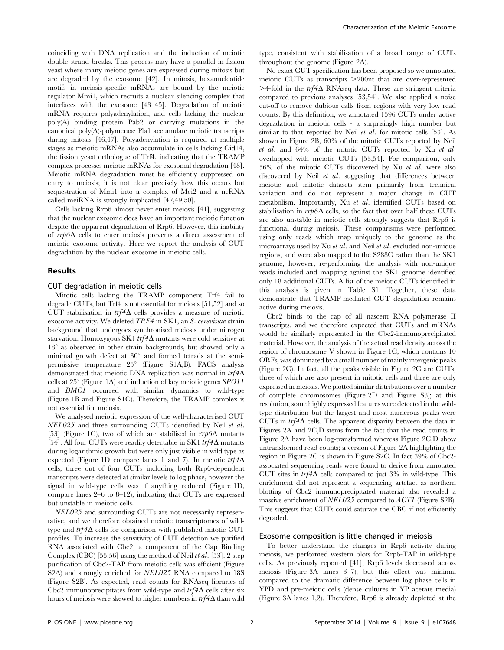coinciding with DNA replication and the induction of meiotic double strand breaks. This process may have a parallel in fission yeast where many meiotic genes are expressed during mitosis but are degraded by the exosome [42]. In mitosis, hexanucleotide motifs in meiosis-specific mRNAs are bound by the meiotic regulator Mmi1, which recruits a nuclear silencing complex that interfaces with the exosome [43–45]. Degradation of meiotic mRNA requires polyadenylation, and cells lacking the nuclear poly(A) binding protein Pab2 or carrying mutations in the canonical poly(A)-polymerase Pla1 accumulate meiotic transcripts during mitosis [46,47]. Polyadenylation is required at multiple stages as meiotic mRNAs also accumulate in cells lacking Cid14, the fission yeast orthologue of Trf4, indicating that the TRAMP complex processes meiotic mRNAs for exosomal degradation [48]. Meiotic mRNA degradation must be efficiently suppressed on entry to meiosis; it is not clear precisely how this occurs but sequestration of Mmi1 into a complex of Mei2 and a ncRNA called meiRNA is strongly implicated [42,49,50].

Cells lacking Rrp6 almost never enter meiosis [41], suggesting that the nuclear exosome does have an important meiotic function despite the apparent degradation of Rrp6. However, this inability of  $rrp6\Delta$  cells to enter meiosis prevents a direct assessment of meiotic exosome activity. Here we report the analysis of CUT degradation by the nuclear exosome in meiotic cells.

## Results

## CUT degradation in meiotic cells

Mitotic cells lacking the TRAMP component Trf4 fail to degrade CUTs, but Trf4 is not essential for meiosis [51,52] and so CUT stabilisation in  $trf4\Delta$  cells provides a measure of meiotic exosome activity. We deleted TRF4 in SK1, an S. cerevisiae strain background that undergoes synchronised meiosis under nitrogen starvation. Homozygous SK1  $trf4\Delta$  mutants were cold sensitive at  $18^\circ$  as observed in other strain backgrounds, but showed only a minimal growth defect at  $30^{\circ}$  and formed tetrads at the semipermissive temperature  $25^\circ$  (Figure S1A,B). FACS analysis demonstrated that meiotic DNA replication was normal in  $trf4\Delta$ cells at  $25^{\circ}$  (Figure 1A) and induction of key meiotic genes SPO11 and DMC1 occurred with similar dynamics to wild-type (Figure 1B and Figure S1C). Therefore, the TRAMP complex is not essential for meiosis.

We analysed meiotic expression of the well-characterised CUT NEL025 and three surrounding CUTs identified by Neil et al. [53] (Figure 1C), two of which are stabilised in  $rrp6\Delta$  mutants [54]. All four CUTs were readily detectable in SK1  $trf4\Delta$  mutants during logarithmic growth but were only just visible in wild type as expected (Figure 1D compare lanes 1 and 7). In meiotic  $trf4\Delta$ cells, three out of four CUTs including both Rrp6-dependent transcripts were detected at similar levels to log phase, however the signal in wild-type cells was if anything reduced (Figure 1D, compare lanes 2–6 to 8–12), indicating that CUTs are expressed but unstable in meiotic cells.

NEL025 and surrounding CUTs are not necessarily representative, and we therefore obtained meiotic transcriptomes of wildtype and  $trf4\Delta$  cells for comparison with published mitotic CUT profiles. To increase the sensitivity of CUT detection we purified RNA associated with Cbc2, a component of the Cap Binding Complex (CBC) [55,56] using the method of Neil et al. [53]. 2-step purification of Cbc2-TAP from meiotic cells was efficient (Figure S2A) and strongly enriched for NEL025 RNA compared to 18S (Figure S2B). As expected, read counts for RNAseq libraries of Cbc2 immunoprecipitates from wild-type and  $trf4\Delta$  cells after six hours of meiosis were skewed to higher numbers in  $trf4\Delta$  than wild type, consistent with stabilisation of a broad range of CUTs throughout the genome (Figure 2A).

No exact CUT specification has been proposed so we annotated meiotic CUTs as transcripts  $>200$ nt that are over-represented  $>$ 4-fold in the trf4 $\Delta$  RNAseq data. These are stringent criteria compared to previous analyses [53,54]. We also applied a noise cut-off to remove dubious calls from regions with very low read counts. By this definition, we annotated 1596 CUTs under active degradation in meiotic cells - a surprisingly high number but similar to that reported by Neil *et al.* for mitotic cells [53]. As shown in Figure 2B, 60% of the mitotic CUTs reported by Neil et al. and 64% of the mitotic CUTs reported by Xu et al. overlapped with meiotic CUTs [53,54]. For comparison, only 56% of the mitotic CUTs discovered by Xu et al. were also discovered by Neil et al. suggesting that differences between meiotic and mitotic datasets stem primarily from technical variation and do not represent a major change in CUT metabolism. Importantly, Xu et al. identified CUTs based on stabilisation in  $rrp6\Delta$  cells, so the fact that over half these CUTs are also unstable in meiotic cells strongly suggests that Rrp6 is functional during meiosis. These comparisons were performed using only reads which map uniquely to the genome as the microarrays used by Xu et al. and Neil et al. excluded non-unique regions, and were also mapped to the S288C rather than the SK1 genome, however, re-performing the analysis with non-unique reads included and mapping against the SK1 genome identified only 18 additional CUTs. A list of the meiotic CUTs identified in this analysis is given in Table S1. Together, these data demonstrate that TRAMP-mediated CUT degradation remains active during meiosis.

Cbc2 binds to the cap of all nascent RNA polymerase II transcripts, and we therefore expected that CUTs and mRNAs would be similarly represented in the Cbc2-immunoprecipitated material. However, the analysis of the actual read density across the region of chromosome V shown in Figure 1C, which contains 10 ORFs, was dominated by a small number of mainly intergenic peaks (Figure 2C). In fact, all the peaks visible in Figure 2C are CUTs, three of which are also present in mitotic cells and three are only expressed in meiosis. We plotted similar distributions over a number of complete chromosomes (Figure 2D and Figure S3); at this resolution, some highly expressed features were detected in the wildtype distribution but the largest and most numerous peaks were CUTs in  $trf4\Delta$  cells. The apparent disparity between the data in Figures 2A and 2C,D stems from the fact that the read counts in Figure 2A have been log-transformed whereas Figure 2C,D show untransformed read counts; a version of Figure 2A highlighting the region in Figure 2C is shown in Figure S2C. In fact 39% of Cbc2 associated sequencing reads were found to derive from annotated CUT sites in  $trf4\Delta$  cells compared to just 3% in wild-type. This enrichment did not represent a sequencing artefact as northern blotting of Cbc2 immunoprecipitated material also revealed a massive enrichment of NEL025 compared to ACT1 (Figure S2B). This suggests that CUTs could saturate the CBC if not efficiently degraded.

## Exosome composition is little changed in meiosis

To better understand the changes in Rrp6 activity during meiosis, we performed western blots for Rrp6-TAP in wild-type cells. As previously reported [41], Rrp6 levels decreased across meiosis (Figure 3A lanes 3–7), but this effect was minimal compared to the dramatic difference between log phase cells in YPD and pre-meiotic cells (dense cultures in YP acetate media) (Figure 3A lanes 1,2). Therefore, Rrp6 is already depleted at the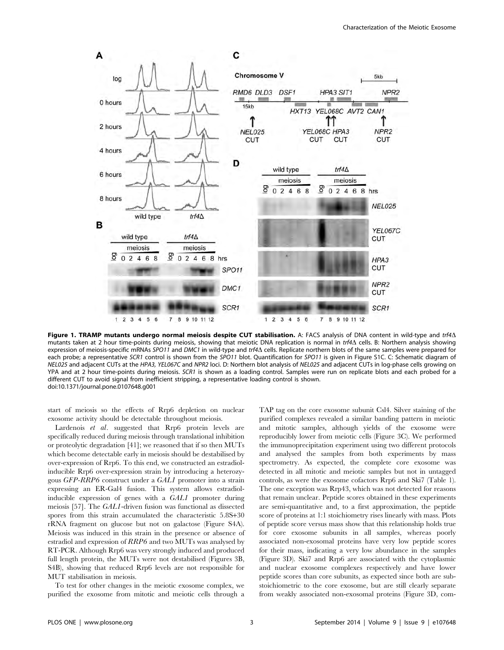

Figure 1. TRAMP mutants undergo normal meiosis despite CUT stabilisation. A: FACS analysis of DNA content in wild-type and trf4 $\Delta$ mutants taken at 2 hour time-points during meiosis, showing that meiotic DNA replication is normal in trf4 $\Delta$  cells. B: Northern analysis showing expression of meiosis-specific mRNAs SPO11 and DMC1 in wild-type and trf4 $\Lambda$  cells. Replicate northern blots of the same samples were prepared for each probe; a representative SCR1 control is shown from the SPO11 blot. Quantification for SPO11 is given in Figure S1C. C: Schematic diagram of NEL025 and adjacent CUTs at the HPA3, YEL067C and NPR2 loci. D: Northern blot analysis of NEL025 and adjacent CUTs in log-phase cells growing on YPA and at 2 hour time-points during meiosis. SCR1 is shown as a loading control. Samples were run on replicate blots and each probed for a different CUT to avoid signal from inefficient stripping, a representative loading control is shown. doi:10.1371/journal.pone.0107648.g001

start of meiosis so the effects of Rrp6 depletion on nuclear exosome activity should be detectable throughout meiosis.

Lardenois et al. suggested that Rrp6 protein levels are specifically reduced during meiosis through translational inhibition or proteolytic degradation [41]; we reasoned that if so then MUTs which become detectable early in meiosis should be destabilised by over-expression of Rrp6. To this end, we constructed an estradiolinducible Rrp6 over-expression strain by introducing a heterozygous GFP-RRP6 construct under a GAL1 promoter into a strain expressing an ER-Gal4 fusion. This system allows estradiolinducible expression of genes with a GAL1 promoter during meiosis [57]. The GAL1-driven fusion was functional as dissected spores from this strain accumulated the characteristic 5.8S+30 rRNA fragment on glucose but not on galactose (Figure S4A). Meiosis was induced in this strain in the presence or absence of estradiol and expression of RRP6 and two MUTs was analysed by RT-PCR. Although Rrp6 was very strongly induced and produced full length protein, the MUTs were not destabilised (Figures 3B, S4B), showing that reduced Rrp6 levels are not responsible for MUT stabilisation in meiosis.

To test for other changes in the meiotic exosome complex, we purified the exosome from mitotic and meiotic cells through a TAP tag on the core exosome subunit Csl4. Silver staining of the purified complexes revealed a similar banding pattern in meiotic and mitotic samples, although yields of the exosome were reproducibly lower from meiotic cells (Figure 3C). We performed the immunoprecipitation experiment using two different protocols and analysed the samples from both experiments by mass spectrometry. As expected, the complete core exosome was detected in all mitotic and meiotic samples but not in untagged controls, as were the exosome cofactors Rrp6 and Ski7 (Table 1). The one exception was Rrp43, which was not detected for reasons that remain unclear. Peptide scores obtained in these experiments are semi-quantitative and, to a first approximation, the peptide score of proteins at 1:1 stoichiometry rises linearly with mass. Plots of peptide score versus mass show that this relationship holds true for core exosome subunits in all samples, whereas poorly associated non-exosomal proteins have very low peptide scores for their mass, indicating a very low abundance in the samples (Figure 3D). Ski7 and Rrp6 are associated with the cytoplasmic and nuclear exosome complexes respectively and have lower peptide scores than core subunits, as expected since both are substoichiometric to the core exosome, but are still clearly separate from weakly associated non-exosomal proteins (Figure 3D, com-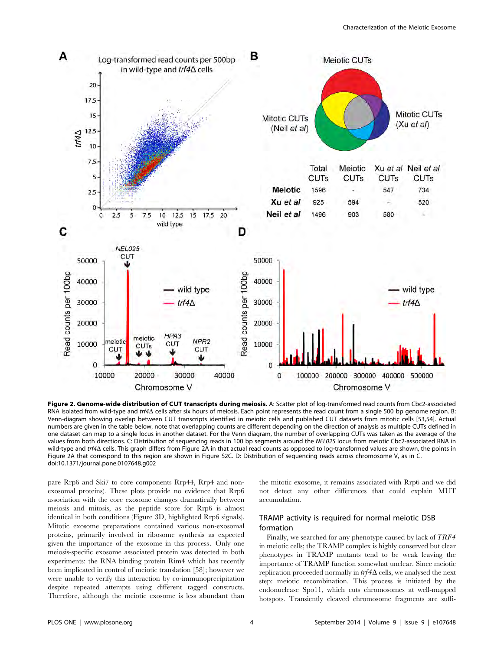

Figure 2. Genome-wide distribution of CUT transcripts during meiosis. A: Scatter plot of log-transformed read counts from Cbc2-associated RNA isolated from wild-type and trf4 $\Delta$  cells after six hours of meiosis. Each point represents the read count from a single 500 bp genome region. B: Venn-diagram showing overlap between CUT transcripts identified in meiotic cells and published CUT datasets from mitotic cells [53,54]. Actual numbers are given in the table below, note that overlapping counts are different depending on the direction of analysis as multiple CUTs defined in one dataset can map to a single locus in another dataset. For the Venn diagram, the number of overlapping CUTs was taken as the average of the values from both directions. C: Distribution of sequencing reads in 100 bp segments around the NEL025 locus from meiotic Cbc2-associated RNA in wild-type and trf4 $\Delta$  cells. This graph differs from Figure 2A in that actual read counts as opposed to log-transformed values are shown, the points in Figure 2A that correspond to this region are shown in Figure S2C. D: Distribution of sequencing reads across chromosome V, as in C. doi:10.1371/journal.pone.0107648.g002

pare Rrp6 and Ski7 to core components Rrp44, Rrp4 and nonexosomal proteins). These plots provide no evidence that Rrp6 association with the core exosome changes dramatically between meiosis and mitosis, as the peptide score for Rrp6 is almost identical in both conditions (Figure 3D, highlighted Rrp6 signals). Mitotic exosome preparations contained various non-exosomal proteins, primarily involved in ribosome synthesis as expected given the importance of the exosome in this process. Only one meiosis-specific exosome associated protein was detected in both experiments: the RNA binding protein Rim4 which has recently been implicated in control of meiotic translation [58]; however we were unable to verify this interaction by co-immunoprecipitation despite repeated attempts using different tagged constructs. Therefore, although the meiotic exosome is less abundant than the mitotic exosome, it remains associated with Rrp6 and we did not detect any other differences that could explain MUT accumulation.

## TRAMP activity is required for normal meiotic DSB formation

Finally, we searched for any phenotype caused by lack of TRF4 in meiotic cells; the TRAMP complex is highly conserved but clear phenotypes in TRAMP mutants tend to be weak leaving the importance of TRAMP function somewhat unclear. Since meiotic replication proceeded normally in  $trf4\Delta$  cells, we analysed the next step: meiotic recombination. This process is initiated by the endonuclease Spo11, which cuts chromosomes at well-mapped hotspots. Transiently cleaved chromosome fragments are suffi-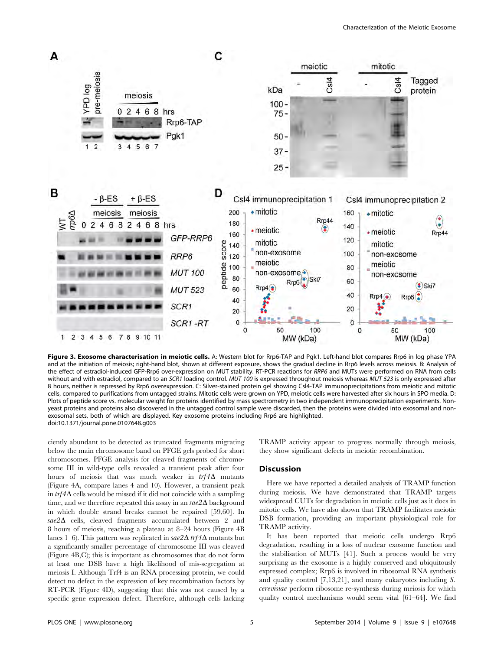

Figure 3. Exosome characterisation in meiotic cells. A: Western blot for Rrp6-TAP and Pgk1. Left-hand blot compares Rrp6 in log phase YPA and at the initiation of meiosis; right-hand blot, shown at different exposure, shows the gradual decline in Rrp6 levels across meiosis. B: Analysis of the effect of estradiol-induced GFP-Rrp6 over-expression on MUT stability. RT-PCR reactions for RRP6 and MUTs were performed on RNA from cells without and with estradiol, compared to an SCR1 loading control. MUT 100 is expressed throughout meiosis whereas MUT 523 is only expressed after 8 hours, neither is repressed by Rrp6 overexpression. C: Silver-stained protein gel showing Csl4-TAP immunoprecipitations from meiotic and mitotic cells, compared to purifications from untagged strains. Mitotic cells were grown on YPD, meiotic cells were harvested after six hours in SPO media. D: Plots of peptide score vs. molecular weight for proteins identified by mass spectrometry in two independent immunoprecipitation experiments. Nonyeast proteins and proteins also discovered in the untagged control sample were discarded, then the proteins were divided into exosomal and nonexosomal sets, both of which are displayed. Key exosome proteins including Rrp6 are highlighted. doi:10.1371/journal.pone.0107648.g003

ciently abundant to be detected as truncated fragments migrating below the main chromosome band on PFGE gels probed for short chromosomes. PFGE analysis for cleaved fragments of chromosome III in wild-type cells revealed a transient peak after four hours of meiosis that was much weaker in  $trf4\Delta$  mutants (Figure 4A, compare lanes 4 and 10). However, a transient peak in  $trf4\Delta$  cells would be missed if it did not coincide with a sampling time, and we therefore repeated this assay in an  $\sin 2\Delta$  background in which double strand breaks cannot be repaired [59,60]. In  $sae2\Delta$  cells, cleaved fragments accumulated between 2 and 8 hours of meiosis, reaching a plateau at 8–24 hours (Figure 4B lanes 1–6). This pattern was replicated in  $\sin 2\Delta \, trf 4\Delta$  mutants but a significantly smaller percentage of chromosome III was cleaved (Figure 4B,C); this is important as chromosomes that do not form at least one DSB have a high likelihood of mis-segregation at meiosis I. Although Trf4 is an RNA processing protein, we could detect no defect in the expression of key recombination factors by RT-PCR (Figure 4D), suggesting that this was not caused by a specific gene expression defect. Therefore, although cells lacking TRAMP activity appear to progress normally through meiosis, they show significant defects in meiotic recombination.

#### Discussion

Here we have reported a detailed analysis of TRAMP function during meiosis. We have demonstrated that TRAMP targets widespread CUTs for degradation in meiotic cells just as it does in mitotic cells. We have also shown that TRAMP facilitates meiotic DSB formation, providing an important physiological role for TRAMP activity.

It has been reported that meiotic cells undergo Rrp6 degradation, resulting in a loss of nuclear exosome function and the stabilisation of MUTs [41]. Such a process would be very surprising as the exosome is a highly conserved and ubiquitously expressed complex; Rrp6 is involved in ribosomal RNA synthesis and quality control [7,13,21], and many eukaryotes including S. cerevisiae perform ribosome re-synthesis during meiosis for which quality control mechanisms would seem vital [61–64]. We find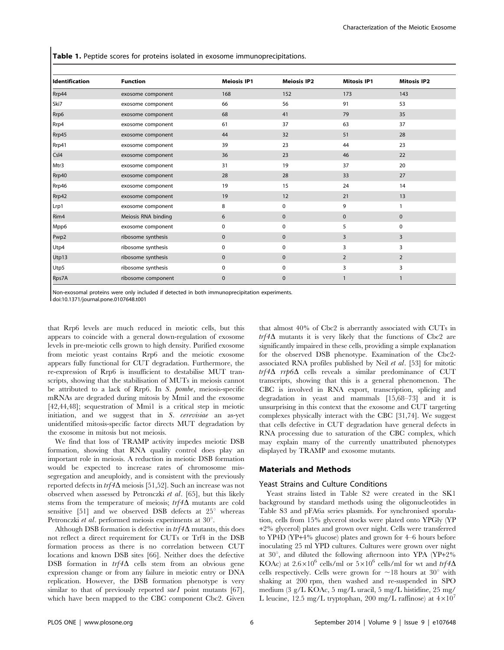Table 1. Peptide scores for proteins isolated in exosome immunoprecipitations.

| Identification | <b>Function</b>     | <b>Meiosis IP1</b> | <b>Meiosis IP2</b> | <b>Mitosis IP1</b> | <b>Mitosis IP2</b> |
|----------------|---------------------|--------------------|--------------------|--------------------|--------------------|
| Rrp44          | exosome component   | 168                | 152                | 173                | 143                |
| Ski7           | exosome component   | 66                 | 56                 | 91                 | 53                 |
| Rrp6           | exosome component   | 68                 | 41                 | 79                 | 35                 |
| Rrp4           | exosome component   | 61                 | 37                 | 63                 | 37                 |
| Rrp45          | exosome component   | 44                 | 32                 | 51                 | 28                 |
| Rrp41          | exosome component   | 39                 | 23                 | 44                 | 23                 |
| Csl4           | exosome component   | 36                 | 23                 | 46                 | 22                 |
| Mtr3           | exosome component   | 31                 | 19                 | 37                 | 20                 |
| Rrp40          | exosome component   | 28                 | 28                 | 33                 | 27                 |
| Rrp46          | exosome component   | 19                 | 15                 | 24                 | 14                 |
| Rrp42          | exosome component   | 19                 | 12                 | 21                 | 13                 |
| Lrp1           | exosome component   | 8                  | 0                  | 9                  |                    |
| Rim4           | Meiosis RNA binding | 6                  | $\mathbf{0}$       | $\mathbf 0$        | $\mathbf{0}$       |
| Mpp6           | exosome component   | 0                  | 0                  | 5                  | $\mathbf 0$        |
| Pwp2           | ribosome synthesis  | 0                  | 0                  | 3                  | 3                  |
| Utp4           | ribosome synthesis  | 0                  | 0                  | 3                  | 3                  |
| Utp13          | ribosome synthesis  | $\mathbf 0$        | $\mathbf{0}$       | 2                  | 2                  |
| Utp5           | ribosome synthesis  | 0                  | 0                  | 3                  | 3                  |
| Rps7A          | ribosome component  | $\mathbf{0}$       | $\mathbf{0}$       |                    |                    |

Non-exosomal proteins were only included if detected in both immunoprecipitation experiments.

doi:10.1371/journal.pone.0107648.t001

that Rrp6 levels are much reduced in meiotic cells, but this appears to coincide with a general down-regulation of exosome levels in pre-meiotic cells grown to high density. Purified exosome from meiotic yeast contains Rrp6 and the meiotic exosome appears fully functional for CUT degradation. Furthermore, the re-expression of Rrp6 is insufficient to destabilise MUT transcripts, showing that the stabilisation of MUTs in meiosis cannot be attributed to a lack of Rrp6. In S. pombe, meiosis-specific mRNAs are degraded during mitosis by Mmi1 and the exosome [42,44,48]; sequestration of Mmi1 is a critical step in meiotic initiation, and we suggest that in S. cerevisiae an as-yet unidentified mitosis-specific factor directs MUT degradation by the exosome in mitosis but not meiosis.

We find that loss of TRAMP activity impedes meiotic DSB formation, showing that RNA quality control does play an important role in meiosis. A reduction in meiotic DSB formation would be expected to increase rates of chromosome missegregation and aneuploidy, and is consistent with the previously reported defects in  $trf4\Delta$  meiosis [51,52]. Such an increase was not observed when assessed by Petronczki et al. [65], but this likely stems from the temperature of meiosis;  $trf4\Delta$  mutants are cold sensitive [51] and we observed DSB defects at  $25^{\circ}$  whereas Petronczki et al. performed meiosis experiments at  $30^{\circ}$ .

Although DSB formation is defective in  $trf4\Delta$  mutants, this does not reflect a direct requirement for CUTs or Trf4 in the DSB formation process as there is no correlation between CUT locations and known DSB sites [66]. Neither does the defective DSB formation in  $trf4\Delta$  cells stem from an obvious gene expression change or from any failure in meiotic entry or DNA replication. However, the DSB formation phenotype is very similar to that of previously reported  $sael$  point mutants [67], which have been mapped to the CBC component Cbc2. Given that almost 40% of Cbc2 is aberrantly associated with CUTs in  $trf4\Delta$  mutants it is very likely that the functions of Cbc2 are significantly impaired in these cells, providing a simple explanation for the observed DSB phenotype. Examination of the Cbc2 associated RNA profiles published by Neil et al. [53] for mitotic  $trf4\Delta$  rrp6 $\Delta$  cells reveals a similar predominance of CUT transcripts, showing that this is a general phenomenon. The CBC is involved in RNA export, transcription, splicing and degradation in yeast and mammals [15,68–73] and it is unsurprising in this context that the exosome and CUT targeting complexes physically interact with the CBC [31,74]. We suggest that cells defective in CUT degradation have general defects in RNA processing due to saturation of the CBC complex, which may explain many of the currently unattributed phenotypes displayed by TRAMP and exosome mutants.

## Materials and Methods

## Yeast Strains and Culture Conditions

Yeast strains listed in Table S2 were created in the SK1 background by standard methods using the oligonucleotides in Table S3 and pFA6a series plasmids. For synchronised sporulation, cells from 15% glycerol stocks were plated onto YPGly (YP +2% glycerol) plates and grown over night. Cells were transferred to YP4D (YP+4% glucose) plates and grown for 4–6 hours before inoculating 25 ml YPD cultures. Cultures were grown over night at  $30^{\circ}$ , and diluted the following afternoon into YPA (YP+2%) KOAc) at  $2.6 \times 10^6$  cells/ml or  $5 \times 10^6$  cells/ml for wt and  $trf4\Delta$ cells respectively. Cells were grown for  $\sim$ 18 hours at 30° with shaking at 200 rpm, then washed and re-suspended in SPO medium (3 g/L KOAc, 5 mg/L uracil, 5 mg/L histidine, 25 mg/ L leucine, 12.5 mg/L tryptophan, 200 mg/L raffinose) at  $4\times10^{7}$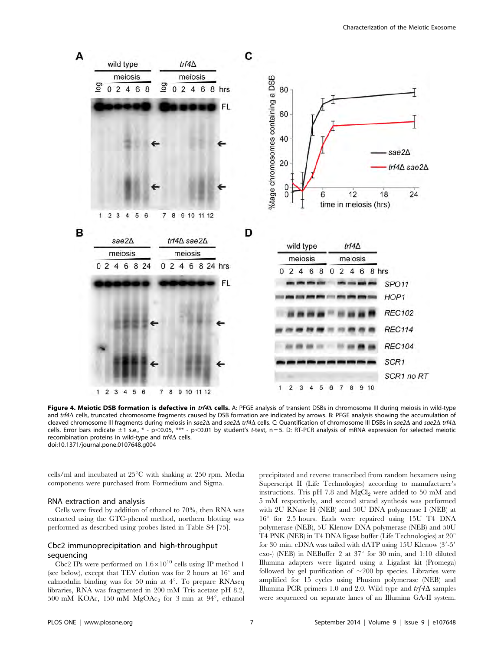

Figure 4. Meiotic DSB formation is defective in trf4A cells. A: PFGE analysis of transient DSBs in chromosome III during meiosis in wild-type and trf4 $\Delta$  cells, truncated chromosome fragments caused by DSB formation are indicated by arrows. B: PFGE analysis showing the accumulation of cleaved chromosome III fragments during meiosis in sae2 $\Delta$  and sae2 $\Delta$  trf4 $\Delta$  cells. C: Quantification of chromosome III DSBs in sae2 $\Delta$  and sae2 $\Delta$  trf4 $\Delta$ cells. Error bars indicate  $\pm 1$  s.e., \* - p<0.05, \*\*\* - p<0.01 by student's t-test, n = 5. D: RT-PCR analysis of mRNA expression for selected meiotic recombination proteins in wild-type and  $trf4\Delta$  cells. doi:10.1371/journal.pone.0107648.g004

cells/ml and incubated at  $25^{\circ}$ C with shaking at 250 rpm. Media components were purchased from Formedium and Sigma.

## RNA extraction and analysis

Cells were fixed by addition of ethanol to 70%, then RNA was extracted using the GTC-phenol method, northern blotting was performed as described using probes listed in Table S4 [75].

## Cbc2 immunoprecipitation and high-throughput sequencing

Cbc2 IPs were performed on  $1.6 \times 10^{10}$  cells using IP method 1 (see below), except that TEV elution was for 2 hours at  $16^{\circ}$  and calmodulin binding was for 50 min at  $4^\circ$ . To prepare RNAseq libraries, RNA was fragmented in 200 mM Tris acetate pH 8.2, 500 mM KOAc, 150 mM  $MgOAc<sub>2</sub>$  for 3 min at 94 $^{\circ}$ , ethanol precipitated and reverse transcribed from random hexamers using Superscript II (Life Technologies) according to manufacturer's instructions. Tris pH 7.8 and  $MgCl<sub>2</sub>$  were added to 50 mM and 5 mM respectively, and second strand synthesis was performed with 2U RNase H (NEB) and 50U DNA polymerase I (NEB) at 16° for 2.5 hours. Ends were repaired using 15U T4 DNA polymerase (NEB), 5U Klenow DNA polymerase (NEB) and 50U T4 PNK (NEB) in T4 DNA ligase buffer (Life Technologies) at  $20^\circ$ for 30 min. cDNA was tailed with dATP using  $15U$  Klenow  $(3'$ -5' exo-) (NEB) in NEBuffer 2 at  $37^{\circ}$  for 30 min, and 1:10 diluted Illumina adapters were ligated using a Ligafast kit (Promega) followed by gel purification of  $\sim$ 200 bp species. Libraries were amplified for 15 cycles using Phusion polymerase (NEB) and Illumina PCR primers 1.0 and 2.0. Wild type and  $trf4\Delta$  samples were sequenced on separate lanes of an Illumina GA-II system.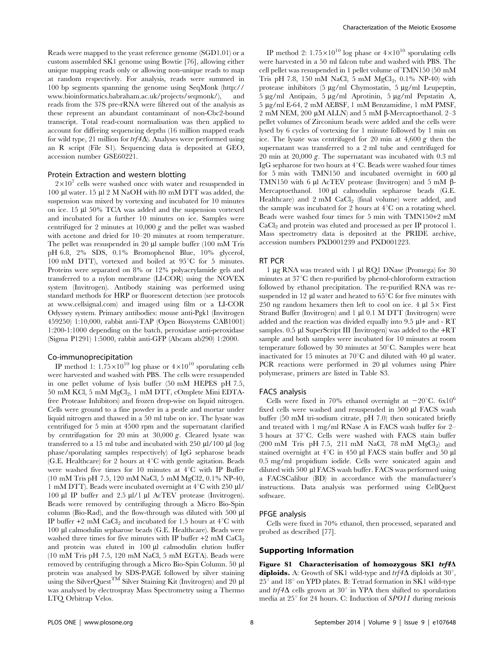Reads were mapped to the yeast reference genome (SGD1.01) or a custom assembled SK1 genome using Bowtie [76], allowing either unique mapping reads only or allowing non-unique reads to map at random respectively. For analysis, reads were summed in 100 bp segments spanning the genome using SeqMonk ([http://](http://www.bioinformatics.babraham.ac.uk/projects/seqmonk/) [www.bioinformatics.babraham.ac.uk/projects/seqmonk/\)](http://www.bioinformatics.babraham.ac.uk/projects/seqmonk/), and reads from the 37S pre-rRNA were filtered out of the analysis as these represent an abundant contaminant of non-Cbc2-bound transcript. Total read-count normalisation was then applied to account for differing sequencing depths (16 million mapped reads for wild type, 21 million for  $trf4\Delta$ ). Analyses were performed using an R script (File S1). Sequencing data is deposited at GEO, accession number GSE60221.

#### Protein Extraction and western blotting

 $2\times10^{7}$  cells were washed once with water and resuspended in 100 ml water. 15 ml 2 M NaOH with 80 mM DTT was added, the suspension was mixed by vortexing and incubated for 10 minutes on ice. 15  $\mu$ l 50% TCA was added and the suspension vortexed and incubated for a further 10 minutes on ice. Samples were centrifuged for 2 minutes at 10,000  $g$  and the pellet was washed with acetone and dried for 10–20 minutes at room temperature. The pellet was resuspended in 20 µl sample buffer (100 mM Tris pH 6.8, 2% SDS, 0.1% Bromophenol Blue, 10% glycerol, 100 mM DTT), vortexed and boiled at  $95^{\circ}$ C for 5 minutes. Proteins were separated on 8% or 12% polyacrylamide gels and transferred to a nylon membrane (LI-COR) using the NOVEX system (Invitrogen). Antibody staining was performed using standard methods for HRP or fluorescent detection (see protocols at [www.cellsignal.com\)](www.cellsignal.com) and imaged using film or a LI-COR Odyssey system. Primary antibodies: mouse anti-Pgk1 (Invitrogen 459250) 1:10,000, rabbit anti-TAP (Open Biosystems CAB1001) 1:200-1:1000 depending on the batch, peroxidase anti-peroxidase (Sigma P1291) 1:5000, rabbit anti-GFP (Abcam ab290) 1:2000.

## Co-immunoprecipitation

IP method 1:  $1.75 \times 10^{10}$  log phase or  $4 \times 10^{10}$  sporulating cells were harvested and washed with PBS. The cells were resuspended in one pellet volume of lysis buffer (50 mM HEPES pH 7.5,  $50 \text{ mM KCl}, 5 \text{ mM } M_{\mathcal{Q}}Cl_2$ , 1 mM DTT, cOmplete Mini EDTAfree Protease Inhibitors) and frozen drop-wise on liquid nitrogen. Cells were ground to a fine powder in a pestle and mortar under liquid nitrogen and thawed in a 50 ml tube on ice. The lysate was centrifuged for 5 min at 4500 rpm and the supernatant clarified by centrifugation for 20 min at  $30,000 \, \text{g}$ . Cleared lysate was transferred to a 15 ml tube and incubated with 250  $\mu$ l/100  $\mu$ l (log phase/sporulating samples respectively) of IgG sepharose beads (G.E. Healthcare) for 2 hours at  $4^{\circ}$ C with gentle agitation. Beads were washed five times for 10 minutes at  $4^{\circ}$ C with IP Buffer (10 mM Tris pH 7.5, 120 mM NaCl, 5 mM MgCl2, 0.1% NP-40, 1 mM DTT). Beads were incubated overnight at  $4^{\circ}$ C with 250 µl/ 100 µl IP buffer and 2.5 µl/1 µl AcTEV protease (Invitrogen). Beads were removed by centrifuging through a Micro Bio-Spin column (Bio-Rad), and the flow-through was diluted with 500 ml IP buffer  $+2$  mM CaCl<sub>2</sub> and incubated for 1.5 hours at  $4^{\circ}$ C with 100 ml calmodulin sepharose beads (G.E. Healthcare). Beads were washed three times for five minutes with IP buffer  $+2$  mM CaCl<sub>2</sub> and protein was eluted in  $100 \mu l$  calmodulin elution buffer (10 mM Tris pH 7.5, 120 mM NaCl, 5 mM EGTA). Beads were removed by centrifuging through a Micro Bio-Spin Column. 50 ml protein was analysed by SDS-PAGE followed by silver staining using the SilverQuest<sup>TM</sup> Silver Staining Kit (Invitrogen) and 20 µl was analysed by electrospray Mass Spectrometry using a Thermo LTQ Orbitrap Velos.

IP method 2:  $1.75 \times 10^{10}$  log phase or  $4 \times 10^{10}$  sporulating cells were harvested in a 50 ml falcon tube and washed with PBS. The cell pellet was resuspended in 1 pellet volume of TMN150 (50 mM Tris pH 7.8, 150 mM NaCl, 5 mM  $MgCl<sub>2</sub>$ , 0.1% NP-40) with protease inhibitors  $(5 \mu g/ml \ Chymostatin, 5 \mu g/ml \ Leupeptin,$ 5 mg/ml Antipain, 5 mg/ml Aprotinin, 5 mg/ml Pepstatin A, 5 mg/ml E-64, 2 mM AEBSF, 1 mM Benzamidine, 1 mM PMSF, 2 mM NEM, 200  $\mu$ M ALLN) and 5 mM  $\beta$ -Mercaptoethanol. 2–3 pellet volumes of Zirconium beads were added and the cells were lysed by 6 cycles of vortexing for 1 minute followed by 1 min on ice. The lysate was centrifuged for 20 min at  $4,600 g$  then the supernatant was transferred to a 2 ml tube and centrifuged for 20 min at 20,000 g. The supernatant was incubated with 0.3 ml IgG sepharose for two hours at  $4^{\circ}$ C. Beads were washed four times for 5 min with TMN150 and incubated overnight in  $600 \mu l$ TMN150 with 6 ul AcTEV protease (Invitrogen) and 5 mM  $\beta$ -Mercaptoethanol. 100 µl calmodulin sepharose beads (G.E. Healthcare) and 2 mM CaCl<sub>2</sub> (final volume) were added, and the sample was incubated for 2 hours at  $4^{\circ}$ C on a rotating wheel. Beads were washed four times for 5 min with TMN150+2 mM CaCl<sub>2</sub> and protein was eluted and processed as per IP protocol 1. Mass spectrometry data is deposited at the PRIDE archive, accession numbers PXD001239 and PXD001223.

## RT PCR

1 mg RNA was treated with 1 ml RQ1 DNase (Promega) for 30 minutes at  $37^{\circ}$ C then re-purified by phenol-chloroform extraction followed by ethanol precipitation. The re-purified RNA was resuspended in 12  $\mu$ l water and heated to 65 $\mathrm{^{\circ}C}$  for five minutes with 250 ng random hexamers then left to cool on ice. 4  $\mu$ l 5 $\times$  First Strand Buffer (Invitrogen) and  $1 \mu 10.1 \text{ M DTT}$  (Invitrogen) were added and the reaction was divided equally into 9.5 ml+ and - RT samples.  $0.5$  µl SuperScript III (Invitrogen) was added to the  $+RT$ sample and both samples were incubated for 10 minutes at room temperature followed by 30 minutes at  $50^{\circ}$ C. Samples were heat inactivated for 15 minutes at  $70^{\circ}$ C and diluted with 40 µl water. PCR reactions were performed in  $20 \mu l$  volumes using Phire polymerase, primers are listed in Table S3.

## FACS analysis

Cells were fixed in 70% ethanol overnight at  $-20^{\circ}$ C. 6x10<sup>6</sup> fixed cells were washed and resuspended in 500 µl FACS wash buffer (50 mM tri-sodium citrate, pH 7.0) then sonicated briefly and treated with 1 mg/ml RNase A in FACS wash buffer for 2–  $3$  hours at  $37^{\circ}$ C. Cells were washed with FACS stain buffer  $(200 \text{ mM}$  Tris pH 7.5, 211 mM NaCl, 78 mM MgCl<sub>2</sub>) and stained overnight at  $4^{\circ}$ C in 450 µl FACS stain buffer and 50 µl 0.5 mg/ml propidium iodide. Cells were sonicated again and diluted with 500 µl FACS wash buffer. FACS was performed using a FACSCalibur (BD) in accordance with the manufacturer's instructions. Data analysis was performed using CellQuest software.

#### PFGE analysis

Cells were fixed in 70% ethanol, then processed, separated and probed as described [77].

## Supporting Information

Figure S1 Characterisation of homozygous SK1  $trf4\Delta$ diploids. A: Growth of SK1 wild-type and  $trf4\Delta$  diploids at 30°,  $25^{\circ}$  and  $18^{\circ}$  on YPD plates. B: Tetrad formation in SK1 wild-type and  $trf4\Delta$  cells grown at 30° in YPA then shifted to sporulation media at  $25^{\circ}$  for 24 hours. C: Induction of  $SPO11$  during meiosis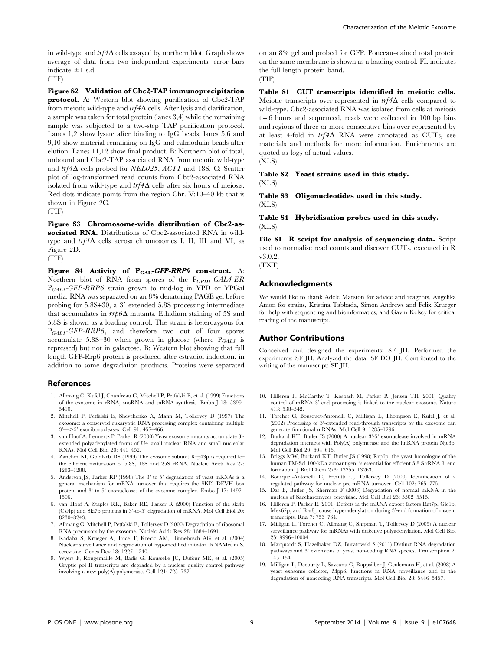in wild-type and  $trf4\Delta$  cells assayed by northern blot. Graph shows average of data from two independent experiments, error bars indicate  $\pm 1$  s.d. (TIF)

Figure S2 Validation of Cbc2-TAP immunoprecipitation protocol. A: Western blot showing purification of Cbc2-TAP from meiotic wild-type and  $trf4\Delta$  cells. After lysis and clarification, a sample was taken for total protein (lanes 3,4) while the remaining sample was subjected to a two-step TAP purification protocol. Lanes 1,2 show lysate after binding to IgG beads, lanes 5,6 and 9,10 show material remaining on IgG and calmodulin beads after elution. Lanes 11,12 show final product. B: Northern blot of total, unbound and Cbc2-TAP associated RNA from meiotic wild-type and  $trf4\Delta$  cells probed for *NEL025*, *ACT1* and 18S. C: Scatter plot of log-transformed read counts from Cbc2-associated RNA isolated from wild-type and  $trf4\Delta$  cells after six hours of meiosis. Red dots indicate points from the region Chr. V:10–40 kb that is shown in Figure 2C.

(TIF)

Figure S3 Chromosome-wide distribution of Cbc2-associated RNA. Distributions of Cbc2-associated RNA in wildtype and  $trf4\Delta$  cells across chromosomes I, II, III and VI, as Figure 2D.

(TIF)

Figure S4 Activity of  $P_{GAL}$ -GFP-RRP6 construct. A: Northern blot of RNA from spores of the  $P_{CPD1}$ -GAL4-ER  $P_{GALI}$ -GFP-RRP6 strain grown to mid-log in YPD or YPGal media. RNA was separated on an 8% denaturing PAGE gel before probing for  $5.8S+30$ , a  $3'$  extended  $5.8S$  processing intermediate that accumulates in  $rrp6\Delta$  mutants. Ethidium staining of 5S and 5.8S is shown as a loading control. The strain is heterozygous for  $P_{GALI}$ -GFP-RRP6, and therefore two out of four spores accumulate 5.8S+30 when grown in glucose (where  $P_{GALI}$  is repressed) but not in galactose. B: Western blot showing that full length GFP-Rrp6 protein is produced after estradiol induction, in addition to some degradation products. Proteins were separated

#### References

- 1. Allmang C, Kufel J, Chanfreau G, Mitchell P, Petfalski E, et al. (1999) Functions of the exosome in rRNA, snoRNA and snRNA synthesis. Embo J 18: 5399– 5410.
- 2. Mitchell P, Petfalski E, Shevchenko A, Mann M, Tollervey D (1997) The exosome: a conserved eukaryotic RNA processing complex containing multiple  $3'$ — $>5'$  exoribonucleases. Cell 91: 457–466.
- 3. van Hoof A, Lennertz P, Parker R (2000) Yeast exosome mutants accumulate 3' extended polyadenylated forms of U4 small nuclear RNA and small nucleolar RNAs. Mol Cell Biol 20: 441–452.
- 4. Zanchin NI, Goldfarb DS (1999) The exosome subunit Rrp43p is required for the efficient maturation of 5.8S, 18S and 25S rRNA. Nucleic Acids Res 27: 1283–1288.
- 5. Anderson JS, Parker RP (1998) The 3' to 5' degradation of yeast mRNAs is a general mechanism for mRNA turnover that requires the SKI2 DEVH box protein and 3' to 5' exonucleases of the exosome complex. Embo J 17: 1497– 1506.
- 6. van Hoof A, Staples RR, Baker RE, Parker R (2000) Function of the ski4p (Csl4p) and Ski7p proteins in 3'-to-5' degradation of mRNA. Mol Cell Biol 20: 8230–8243.
- 7. Allmang C, Mitchell P, Petfalski E, Tollervey D (2000) Degradation of ribosomal RNA precursors by the exosome. Nucleic Acids Res 28: 1684–1691.
- 8. Kadaba S, Krueger A, Trice T, Krecic AM, Hinnebusch AG, et al. (2004) Nuclear surveillance and degradation of hypomodified initiator tRNAMet in S. cerevisiae. Genes Dev 18: 1227–1240.
- 9. Wyers F, Rougemaille M, Badis G, Rousselle JC, Dufour ME, et al. (2005) Cryptic pol II transcripts are degraded by a nuclear quality control pathway involving a new poly(A) polymerase. Cell 121: 725–737.

on an 8% gel and probed for GFP. Ponceau-stained total protein on the same membrane is shown as a loading control. FL indicates the full length protein band.

(TIF)

Table S1 CUT transcripts identified in meiotic cells. Meiotic transcripts over-represented in  $trf4\Delta$  cells compared to wild-type. Cbc2-associated RNA was isolated from cells at meiosis  $t = 6$  hours and sequenced, reads were collected in 100 bp bins and regions of three or more consecutive bins over-represented by at least 4-fold in  $trf4\Delta$  RNA were annotated as CUTs, see materials and methods for more information. Enrichments are quoted as  $log<sub>2</sub>$  of actual values. (XLS)

Table S2 Yeast strains used in this study. (XLS)

Table S3 Oligonucleotides used in this study. (XLS)

Table S4 Hybridisation probes used in this study. (XLS)

File S1 R script for analysis of sequencing data. Script used to normalise read counts and discover CUTs, executed in R v3.0.2.

(TXT)

## Acknowledgments

We would like to thank Adele Marston for advice and reagents, Angelika Amon for strains, Kristina Tabbada, Simon Andrews and Felix Krueger for help with sequencing and bioinformatics, and Gavin Kelsey for critical reading of the manuscript.

#### Author Contributions

Conceived and designed the experiments: SF JH. Performed the experiments: SF JH. Analyzed the data: SF DO JH. Contributed to the writing of the manuscript: SF JH.

- 10. Hilleren P, McCarthy T, Rosbash M, Parker R, Jensen TH (2001) Quality control of mRNA 3'-end processing is linked to the nuclear exosome. Nature 413: 538–542.
- 11. Torchet C, Bousquet-Antonelli C, Milligan L, Thompson E, Kufel J, et al. (2002) Processing of 3'-extended read-through transcripts by the exosome can generate functional mRNAs. Mol Cell 9: 1285–1296.
- 12. Burkard KT, Butler JS (2000) A nuclear 3'-5' exonuclease involved in mRNA degradation interacts with Poly(A) polymerase and the hnRNA protein Npl3p. Mol Cell Biol 20: 604–616.
- 13. Briggs MW, Burkard KT, Butler JS (1998) Rrp6p, the yeast homologue of the human PM-Scl 100-kDa autoantigen, is essential for efficient 5.8 S rRNA 3' end formation. J Biol Chem 273: 13255–13263.
- 14. Bousquet-Antonelli C, Presutti C, Tollervey D (2000) Identification of a regulated pathway for nuclear pre-mRNA turnover. Cell 102: 765–775.
- 15. Das B, Butler JS, Sherman F (2003) Degradation of normal mRNA in the nucleus of Saccharomyces cerevisiae. Mol Cell Biol 23: 5502–5515.
- 16. Hilleren P, Parker R (2001) Defects in the mRNA export factors Rat7p, Gle1p, Mex67p, and Rat8p cause hyperadenylation during 3'-end formation of nascent transcripts. Rna 7: 753–764.
- 17. Milligan L, Torchet C, Allmang C, Shipman T, Tollervey D (2005) A nuclear surveillance pathway for mRNAs with defective polyadenylation. Mol Cell Biol 25: 9996–10004.
- 18. Marquardt S, Hazelbaker DZ, Buratowski S (2011) Distinct RNA degradation pathways and 3' extensions of yeast non-coding RNA species. Transcription 2: 145–154.
- 19. Milligan L, Decourty L, Saveanu C, Rappsilber J, Ceulemans H, et al. (2008) A yeast exosome cofactor, Mpp6, functions in RNA surveillance and in the degradation of noncoding RNA transcripts. Mol Cell Biol 28: 5446–5457.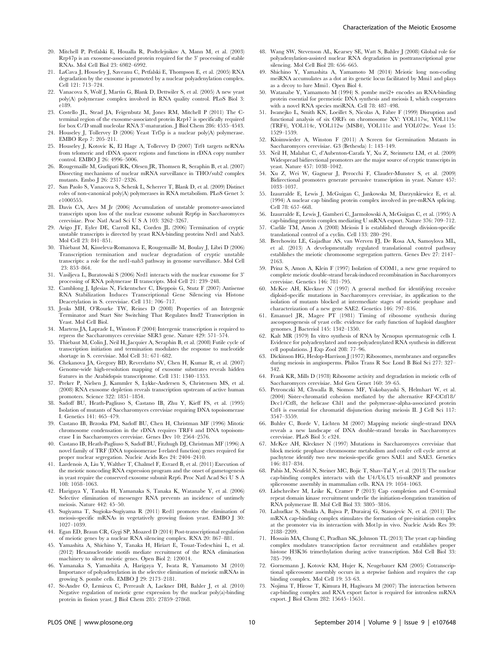- 20. Mitchell P, Petfalski E, Houalla R, Podtelejnikov A, Mann M, et al. (2003) Rrp47p is an exosome-associated protein required for the 3' processing of stable RNAs. Mol Cell Biol 23: 6982–6992.
- 21. LaCava J, Houseley J, Saveanu C, Petfalski E, Thompson E, et al. (2005) RNA degradation by the exosome is promoted by a nuclear polyadenylation complex. Cell 121: 713–724.
- 22. Vanacova S, Wolf J, Martin G, Blank D, Dettwiler S, et al. (2005) A new yeast poly(A) polymerase complex involved in RNA quality control. PLoS Biol 3: e189.
- 23. Costello JL, Stead JA, Feigenbutz M, Jones RM, Mitchell P (2011) The Cterminal region of the exosome-associated protein Rrp47 is specifically required for box C/D small nucleolar RNA 3'-maturation. J Biol Chem 286: 4535–4543.
- 24. Houseley J, Tollervey D (2006) Yeast Trf5p is a nuclear poly(A) polymerase. EMBO Rep 7: 205–211.
- 25. Houseley J, Kotovic K, El Hage A, Tollervey D (2007) Trf4 targets ncRNAs from telomeric and rDNA spacer regions and functions in rDNA copy number control. EMBO J 26: 4996–5006.
- 26. Rougemaille M, Gudipati RK, Olesen JR, Thomsen R, Seraphin B, et al. (2007) Dissecting mechanisms of nuclear mRNA surveillance in THO/sub2 complex mutants. Embo J 26: 2317–2326.
- 27. San Paolo S, Vanacova S, Schenk L, Scherrer T, Blank D, et al. (2009) Distinct roles of non-canonical poly(A) polymerases in RNA metabolism. PLoS Genet 5: e1000555.
- 28. Davis CA, Ares M Jr (2006) Accumulation of unstable promoter-associated transcripts upon loss of the nuclear exosome subunit Rrp6p in Saccharomyces cerevisiae. Proc Natl Acad Sci U S A 103: 3262–3267.
- 29. Arigo JT, Eyler DE, Carroll KL, Corden JL (2006) Termination of cryptic unstable transcripts is directed by yeast RNA-binding proteins Nrd1 and Nab3. Mol Cell 23: 841–851.
- 30. Thiebaut M, Kisseleva-Romanova E, Rougemaille M, Boulay J, Libri D (2006) Transcription termination and nuclear degradation of cryptic unstable transcripts: a role for the nrd1-nab3 pathway in genome surveillance. Mol Cell 23: 853–864.
- 31. Vasiljeva L, Buratowski S (2006) Nrd1 interacts with the nuclear exosome for 3' processing of RNA polymerase II transcripts. Mol Cell 21: 239–248.
- 32. Camblong J, Iglesias N, Fickentscher C, Dieppois G, Stutz F (2007) Antisense RNA Stabilization Induces Transcriptional Gene Silencing via Histone Deacetylation in S. cerevisiae. Cell 131: 706–717.
- 33. Jenks MH, O'Rourke TW, Reines D (2008) Properties of an Intergenic Terminator and Start Site Switching That Regulates Imd2 Transcription in Yeast. Mol Cell Biol.
- 34. Martens JA, Laprade L, Winston F (2004) Intergenic transcription is required to repress the Saccharomyces cerevisiae SER3 gene. Nature 429: 571–574.
- 35. Thiebaut M, Colin J, Neil H, Jacquier A, Seraphin B, et al. (2008) Futile cycle of transcription initiation and termination modulates the response to nucleotide shortage in S. cerevisiae. Mol Cell 31: 671–682.
- 36. Chekanova JA, Gregory BD, Reverdatto SV, Chen H, Kumar R, et al. (2007) Genome-wide high-resolution mapping of exosome substrates reveals hidden features in the Arabidopsis transcriptome. Cell 131: 1340–1353.
- 37. Preker P, Nielsen J, Kammler S, Lykke-Andersen S, Christensen MS, et al. (2008) RNA exosome depletion reveals transcription upstream of active human promoters. Science 322: 1851–1854.
- 38. Sadoff BU, Heath-Pagliuso S, Castano IB, Zhu Y, Kieff FS, et al. (1995) Isolation of mutants of Saccharomyces cerevisiae requiring DNA topoisomerase I. Genetics 141: 465–479.
- 39. Castano IB, Brzoska PM, Sadoff BU, Chen H, Christman MF (1996) Mitotic chromosome condensation in the rDNA requires TRF4 and DNA topoisomerase I in Saccharomyces cerevisiae. Genes Dev 10: 2564–2576.
- 40. Castano IB, Heath-Pagliuso S, Sadoff BU, Fitzhugh DJ, Christman MF (1996) A novel family of TRF (DNA topoisomerase I-related function) genes required for proper nuclear segregation. Nucleic Acids Res 24: 2404–2410.
- 41. Lardenois A, Liu Y, Walther T, Chalmel F, Evrard B, et al. (2011) Execution of the meiotic noncoding RNA expression program and the onset of gametogenesis in yeast require the conserved exosome subunit Rrp6. Proc Natl Acad Sci U S A 108: 1058–1063.
- 42. Harigaya Y, Tanaka H, Yamanaka S, Tanaka K, Watanabe Y, et al. (2006) Selective elimination of messenger RNA prevents an incidence of untimely meiosis. Nature 442: 45–50.
- 43. Sugiyama T, Sugioka-Sugiyama R (2011) Red1 promotes the elimination of meiosis-specific mRNAs in vegetatively growing fission yeast. EMBO J 30: 1027–1039.
- 44. Egan ED, Braun CR, Gygi SP, Moazed D (2014) Post-transcriptional regulation of meiotic genes by a nuclear RNA silencing complex. RNA 20: 867–881.
- 45. Yamashita A, Shichino Y, Tanaka H, Hiriart E, Touat-Todeschini L, et al. (2012) Hexanucleotide motifs mediate recruitment of the RNA elimination machinery to silent meiotic genes. Open Biol 2: 120014.
- 46. Yamanaka S, Yamashita A, Harigaya Y, Iwata R, Yamamoto M (2010) Importance of polyadenylation in the selective elimination of meiotic mRNAs in growing S. pombe cells. EMBO J 29: 2173–2181.
- 47. St-Andre O, Lemieux C, Perreault A, Lackner DH, Bahler J, et al. (2010) Negative regulation of meiotic gene expression by the nuclear poly(a)-binding protein in fission yeast. J Biol Chem 285: 27859–27868.

Characterization of the Meiotic Exosome

- 48. Wang SW, Stevenson AL, Kearsey SE, Watt S, Bahler J (2008) Global role for polyadenylation-assisted nuclear RNA degradation in posttranscriptional gene silencing. Mol Cell Biol 28: 656–665. 49. Shichino Y, Yamashita A, Yamamoto M (2014) Meiotic long non-coding
- meiRNA accumulates as a dot at its genetic locus facilitated by Mmi1 and plays as a decoy to lure Mmi1. Open Biol 4.
- 50. Watanabe Y, Yamamoto M (1994) S. pombe mei2+ encodes an RNA-binding protein essential for premeiotic DNA synthesis and meiosis I, which cooperates with a novel RNA species meiRNA. Cell 78: 487–498.
- 51. Iwanejko L, Smith KN, Loeillet S, Nicolas A, Fabre F (1999) Disruption and functional analysis of six ORFs on chromosome XV: YOL117w, YOL115w (TRF4), YOL114c, YOL112w (MSB4), YOL111c and YOL072w. Yeast 15: 1529–1539.
- 52. Kloimwieder A, Winston F (2011) A Screen for Germination Mutants in Saccharomyces cerevisiae. G3 (Bethesda) 1: 143–149.
- 53. Neil H, Malabat C, d'Aubenton-Carafa Y, Xu Z, Steinmetz LM, et al. (2009) Widespread bidirectional promoters are the major source of cryptic transcripts in yeast. Nature 457: 1038–1042.
- 54. Xu Z, Wei W, Gagneur J, Perocchi F, Clauder-Munster S, et al. (2009) Bidirectional promoters generate pervasive transcription in yeast. Nature 457: 1033–1037.
- 55. Izaurralde E, Lewis J, McGuigan C, Jankowska M, Darzynkiewicz E, et al. (1994) A nuclear cap binding protein complex involved in pre-mRNA splicing. Cell 78: 657–668.
- 56. Izaurralde E, Lewis J, Gamberi C, Jarmolowski A, McGuigan C, et al. (1995) A cap-binding protein complex mediating U snRNA export. Nature 376: 709–712.
- 57. Carlile TM, Amon A (2008) Meiosis I is established through division-specific translational control of a cyclin. Cell 133: 280–291.
- 58. Berchowitz LE, Gajadhar AS, van Werven FJ, De Rosa AA, Samoylova ML, et al. (2013) A developmentally regulated translational control pathway establishes the meiotic chromosome segregation pattern. Genes Dev 27: 2147– 2163.
- 59. Prinz S, Amon A, Klein F (1997) Isolation of COM1, a new gene required to complete meiotic double-strand break-induced recombination in Saccharomyces cerevisiae. Genetics 146: 781–795.
- 60. McKee AH, Kleckner N (1997) A general method for identifying recessive diploid-specific mutations in Saccharomyces cerevisiae, its application to the isolation of mutants blocked at intermediate stages of meiotic prophase and characterization of a new gene SAE2. Genetics 146: 797–816.
- 61. Emanuel JR, Magee PT (1981) Timing of ribosome synthesis during ascosporogenesis of yeast cells: evidence for early function of haploid daughter genomes. J Bacteriol 145: 1342–1350.
- 62. Kalt MR (1979) In vitro synthesis of RNA by Xenopus spermatogenic cells I. Evidence for polyadenylated and non-polyadenylated RNA synthesis in different cell populations. J Exp Zool 208: 77–96.
- 63. Dickinson HG, Heslop-Harrison J (1977) Ribosomes, membranes and organelles during meiosis in angiosperms. Philos Trans R Soc Lond B Biol Sci 277: 327– 342.
- 64. Frank KR, Mills D (1978) Ribosome activity and degradation in meiotic cells of Saccharomyces cerevisiae. Mol Gen Genet 160: 59–65.
- 65. Petronczki M, Chwalla B, Siomos MF, Yokobayashi S, Helmhart W, et al. (2004) Sister-chromatid cohesion mediated by the alternative RF-CCtf18/ Dcc1/Ctf8, the helicase Chl1 and the polymerase-alpha-associated protein Ctf4 is essential for chromatid disjunction during meiosis II. J Cell Sci 117: 3547–3559.
- 66. Buhler C, Borde V, Lichten M (2007) Mapping meiotic single-strand DNA reveals a new landscape of DNA double-strand breaks in Saccharomyces cerevisiae. PLoS Biol 5: e324.
- 67. McKee AH, Kleckner N (1997) Mutations in Saccharomyces cerevisiae that block meiotic prophase chromosome metabolism and confer cell cycle arrest at pachytene identify two new meiosis-specific genes SAE1 and SAE3. Genetics 146: 817–834.
- 68. Pabis M, Neufeld N, Steiner MC, Bojic T, Shav-Tal Y, et al. (2013) The nuclear cap-binding complex interacts with the U4/U6.U5 tri-snRNP and promotes spliceosome assembly in mammalian cells. RNA 19: 1054–1063.
- 69. Lidschreiber M, Leike K, Cramer P (2013) Cap completion and C-terminal repeat domain kinase recruitment underlie the initiation-elongation transition of RNA polymerase II. Mol Cell Biol 33: 3805–3816.
- 70. Lahudkar S, Shukla A, Bajwa P, Durairaj G, Stanojevic N, et al. (2011) The mRNA cap-binding complex stimulates the formation of pre-initiation complex at the promoter via its interaction with Mot1p in vivo. Nucleic Acids Res 39: 2188–2209.
- 71. Hossain MA, Chung C, Pradhan SK, Johnson TL (2013) The yeast cap binding complex modulates transcription factor recruitment and establishes proper histone H3K36 trimethylation during active transcription. Mol Cell Biol 33: 785–799.
- 72. Gornemann J, Kotovic KM, Hujer K, Neugebauer KM (2005) Cotranscriptional spliceosome assembly occurs in a stepwise fashion and requires the cap binding complex. Mol Cell 19: 53–63.
- 73. Nojima T, Hirose T, Kimura H, Hagiwara M (2007) The interaction between cap-binding complex and RNA export factor is required for intronless mRNA export. J Biol Chem 282: 15645–15651.